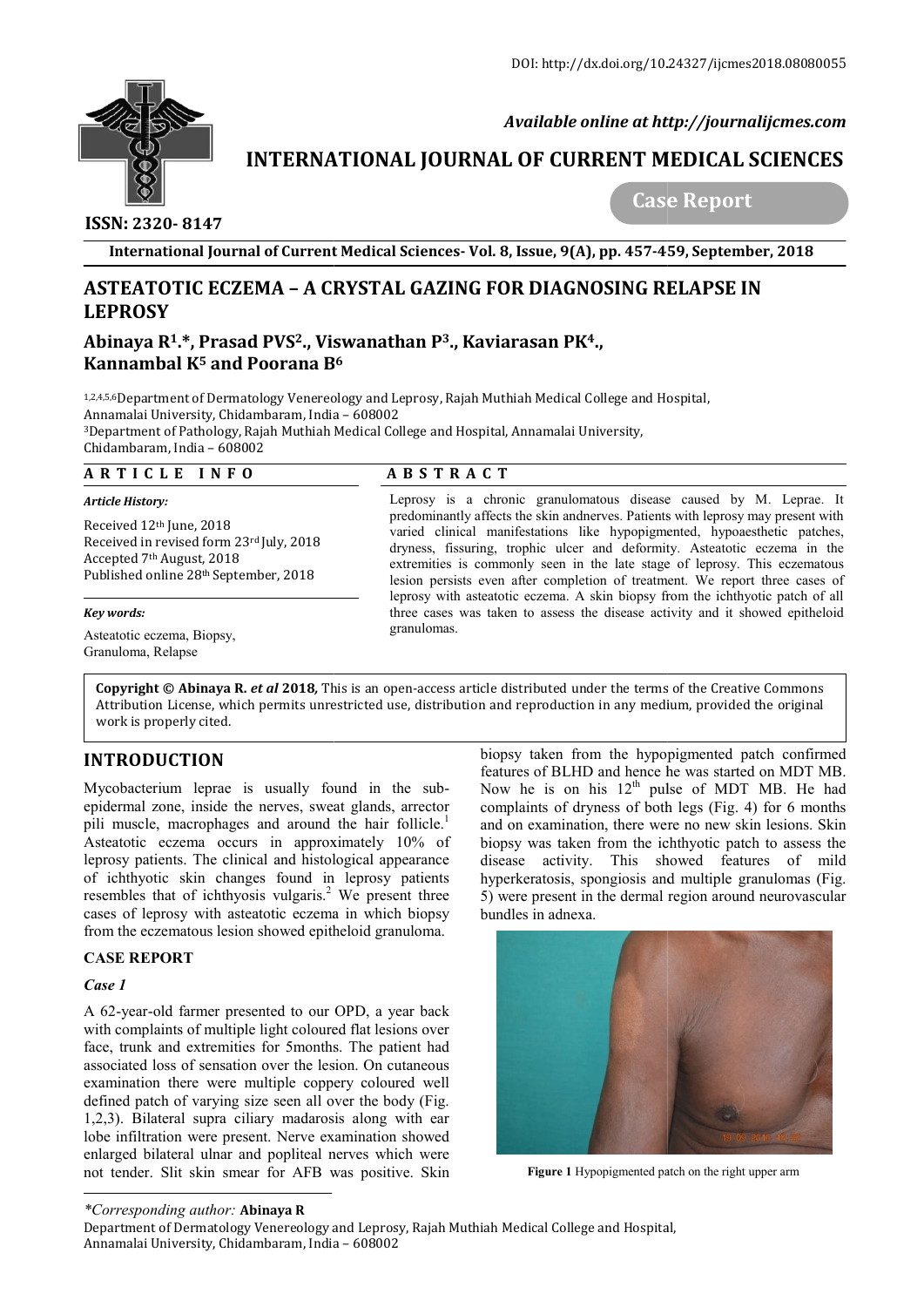

 *Available online at http://journalijcmes.com*

# **INTERNATIONAL JOURNAL OF CURRENT MEDICAL SCIENCES SCIENCES**

 **ISSN: 2320- 8147**

 **Case Report**

**International Journal of Current Medical Sciences Sciences- Vol. 8, Issue, 9(A), pp. 457-459**

# **ASTEATOTIC ECZEMA – A CRYSTAL GAZING FOR DIAGNOSING RELAPSE IN LEPROSY**

# Abinaya R<sup>1</sup>.\*, Prasad PVS<sup>2</sup>., Viswanathan P<sup>3</sup>., Kaviarasan PK<sup>4</sup>., **Kannambal K5 and Poorana B B6**

1,2,4,5,6Department of Dermatology Venereology and Leprosy, Rajah Muthiah Medical College and Hospital, 1,2,4,5,6Department of Dermatology Venereology and L<br>Annamalai University, Chidambaram, India – 608002 3Department of Pathology, Rajah Muthiah Medical College and Hospital, Annamalai University, Department Chidambaram, India – 608002

#### **A R T I C L E I N F O**

### **A B S T R A C T**

Received 12th June, 2018 Received in revised form 23rd July, 2018 Accepted 7th August, 2018 Published online 28th September, 2018

#### *Key words:*

*Article History:* 

Asteatotic eczema, Biopsy, Granuloma, Relapse

Leprosy is a chronic granulomatous disease caused by M. Leprae. It predominantly affects the skin andnerves. Patients with leprosy may present with varied clinical manifestations like hypopigmented, hypoaesthetic patches, dryness, fissuring, trophic ulcer and deformity. Asteatotic eczema in the extremities is commonly seen in the late stage of leprosy. This eczematous lesion persists even after completion of treatment. We report three cases of leprosy with asteatotic eczema. A skin biopsy from the ichthyotic patch of all three cases was taken to assess the disease activity and it showed epitheloid granulomas.

**Copyright © Abinaya R.** *et al* **2018**, This is an open-access article distributed under the terms of the Creative Commons **Copyright © Abinaya R.** *et al* **2018,** This is an open-access article distributed under the terms of the Creative Commons<br>Attribution License, which permits unrestricted use, distribution and reproduction in any medium, pr work is properly cited.

# **INTRODUCTION**

Mycobacterium leprae is usually found in the subepidermal zone, inside the nerves, sweat glands, arrector pili muscle, macrophages and around the hair follicle.<sup>1</sup> Asteatotic eczema occurs in approximately 10% of leprosy patients. The clinical and histological appearance of ichthyotic skin changes found in leprosy patients of ichthyotic skin changes found in leprosy patients resembles that of ichthyosis vulgaris.<sup>2</sup> We present three cases of leprosy with asteatotic eczema in which biopsy from the eczematous lesion showed epitheloid granuloma.

### **CASE REPORT**

### *Case 1*

A 62-year-old farmer presented to our OPD, a year back with complaints of multiple light coloured flat lesions over face, trunk and extremities for 5months. The patient had associated loss of sensation over the lesion. On cutaneous examination there were multiple coppery coloured well defined patch of varying size seen all over the body (Fig. 1,2,3). Bilateral supra ciliary madarosis along with ear lobe infiltration were present. Nerve examination showed enlarged bilateral ulnar and popliteal nerves which w not tender. Slit skin smear for AFB was positive. Skin old farmer presented to our OPD, a year back<br>aints of multiple light coloured flat lesions over<br>and extremities for 5months. The patient had<br>loss of sensation over the lesion. On cutaneous<br>n there were multiple coppery col

biopsy taken from the hypopigmented patch confirmed features of BLHD and hence he was started on MDT MB. Now he is on his  $12<sup>th</sup>$  pulse of MDT MB. He had complaints of dryness of both legs (Fig. 4) for 6 months and on examination, there were no new skin lesions. Skin biopsy was taken from the ichthyotic patch to assess the and on examination, there were no new skin lesions. Skin biopsy was taken from the ichthyotic patch to assess the disease activity. This showed features of mild hyperkeratosis, spongiosis and multiple granulomas (Fig. 5) were present in the dermal region around neurovascular bundles in adnexa. the hypopigmented patch confirmed<br>nd hence he was started on MDT MB.<br> $12<sup>th</sup>$  pulse of MDT MB. He had<br>ss of both legs (Fig. 4) for 6 months



**Figure 1** Hypopigmented patch on the right upper arm

*\*Corresponding author:* **Abinaya R**

Department of Dermatology Venereology and Leprosy, Rajah Muthiah Medical College and Hospital, Annamalai University, Chidambaram, India – 608002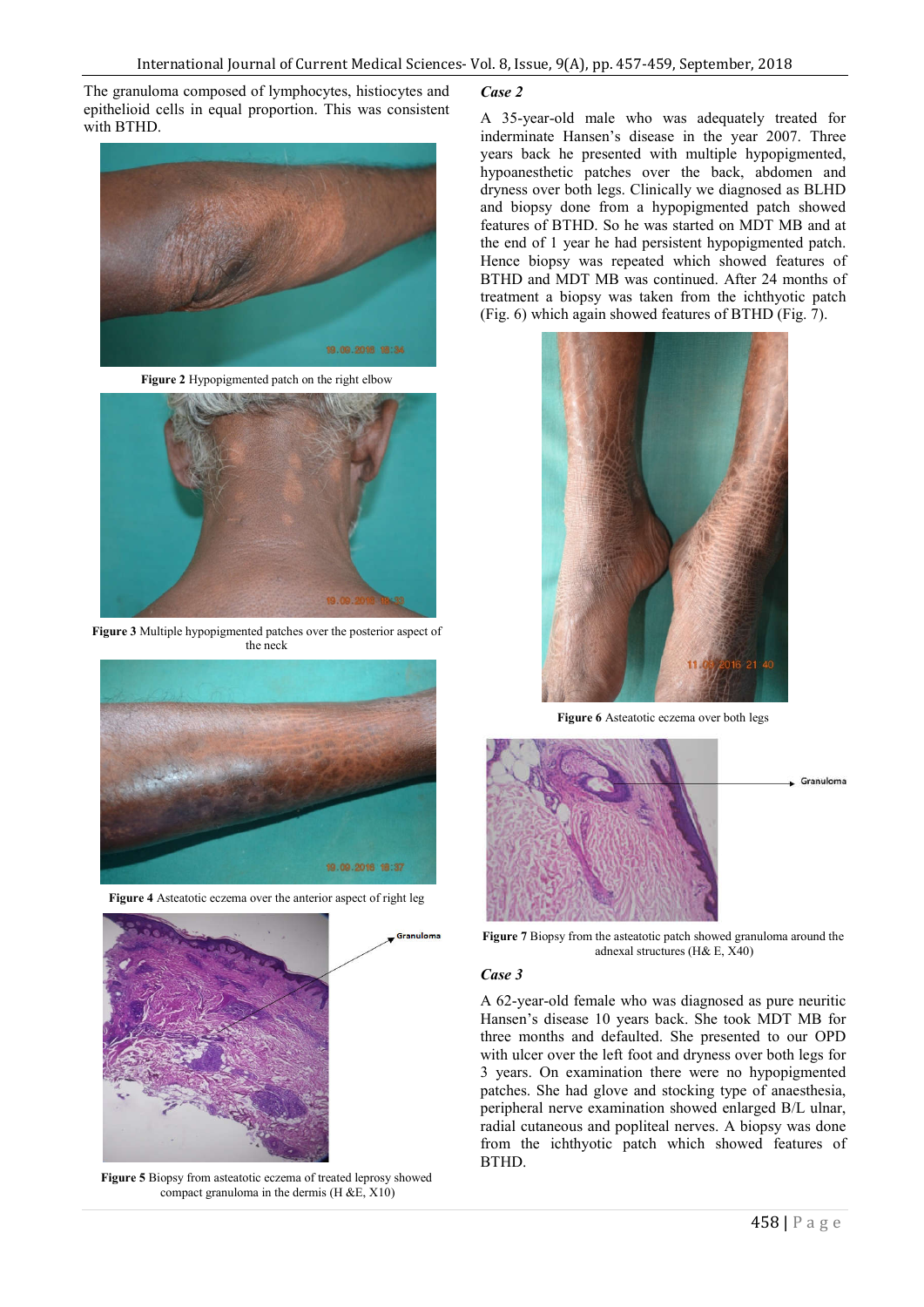The granuloma composed of lymphocytes, histiocytes and epithelioid cells in equal proportion. This was consistent with BTHD.



**Figure 2** Hypopigmented patch on the right elbow



**Figure 3** Multiple hypopigmented patches over the posterior aspect of the neck



**Figure 4** Asteatotic eczema over the anterior aspect of right leg



**Figure 5** Biopsy from asteatotic eczema of treated leprosy showed compact granuloma in the dermis  $(H & E, X10)$ 

#### *Case 2*

A 35-year-old male who was adequately treated for inderminate Hansen's disease in the year 2007. Three years back he presented with multiple hypopigmented, hypoanesthetic patches over the back, abdomen and dryness over both legs. Clinically we diagnosed as BLHD and biopsy done from a hypopigmented patch showed features of BTHD. So he was started on MDT MB and at the end of 1 year he had persistent hypopigmented patch. Hence biopsy was repeated which showed features of BTHD and MDT MB was continued. After 24 months of treatment a biopsy was taken from the ichthyotic patch (Fig. 6) which again showed features of BTHD (Fig. 7).



**Figure 6** Asteatotic eczema over both legs



**Figure 7** Biopsy from the asteatotic patch showed granuloma around the adnexal structures (H& E, X40)

#### *Case 3*

A 62-year-old female who was diagnosed as pure neuritic Hansen's disease 10 years back. She took MDT MB for three months and defaulted. She presented to our OPD with ulcer over the left foot and dryness over both legs for 3 years. On examination there were no hypopigmented patches. She had glove and stocking type of anaesthesia, peripheral nerve examination showed enlarged B/L ulnar, radial cutaneous and popliteal nerves. A biopsy was done from the ichthyotic patch which showed features of BTHD.